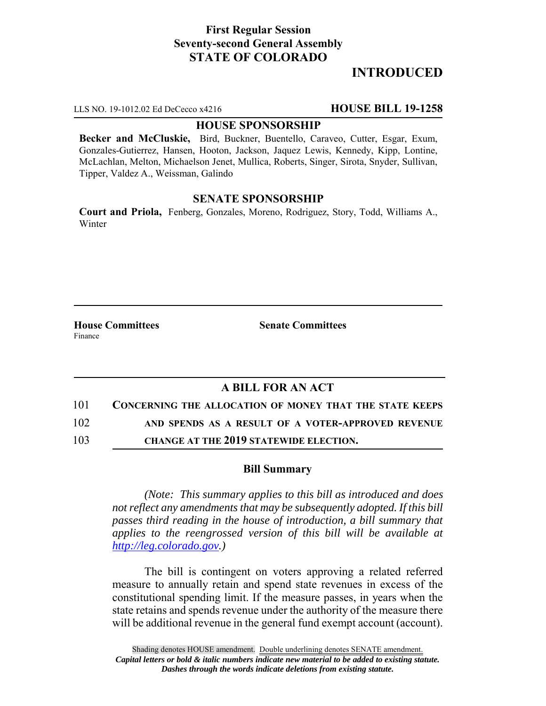# **First Regular Session Seventy-second General Assembly STATE OF COLORADO**

# **INTRODUCED**

LLS NO. 19-1012.02 Ed DeCecco x4216 **HOUSE BILL 19-1258**

#### **HOUSE SPONSORSHIP**

**Becker and McCluskie,** Bird, Buckner, Buentello, Caraveo, Cutter, Esgar, Exum, Gonzales-Gutierrez, Hansen, Hooton, Jackson, Jaquez Lewis, Kennedy, Kipp, Lontine, McLachlan, Melton, Michaelson Jenet, Mullica, Roberts, Singer, Sirota, Snyder, Sullivan, Tipper, Valdez A., Weissman, Galindo

### **SENATE SPONSORSHIP**

**Court and Priola,** Fenberg, Gonzales, Moreno, Rodriguez, Story, Todd, Williams A., Winter

**House Committees Senate Committees** Finance

## **A BILL FOR AN ACT**

101 **CONCERNING THE ALLOCATION OF MONEY THAT THE STATE KEEPS**

102 **AND SPENDS AS A RESULT OF A VOTER-APPROVED REVENUE**

103 **CHANGE AT THE 2019 STATEWIDE ELECTION.**

### **Bill Summary**

*(Note: This summary applies to this bill as introduced and does not reflect any amendments that may be subsequently adopted. If this bill passes third reading in the house of introduction, a bill summary that applies to the reengrossed version of this bill will be available at http://leg.colorado.gov.)*

The bill is contingent on voters approving a related referred measure to annually retain and spend state revenues in excess of the constitutional spending limit. If the measure passes, in years when the state retains and spends revenue under the authority of the measure there will be additional revenue in the general fund exempt account (account).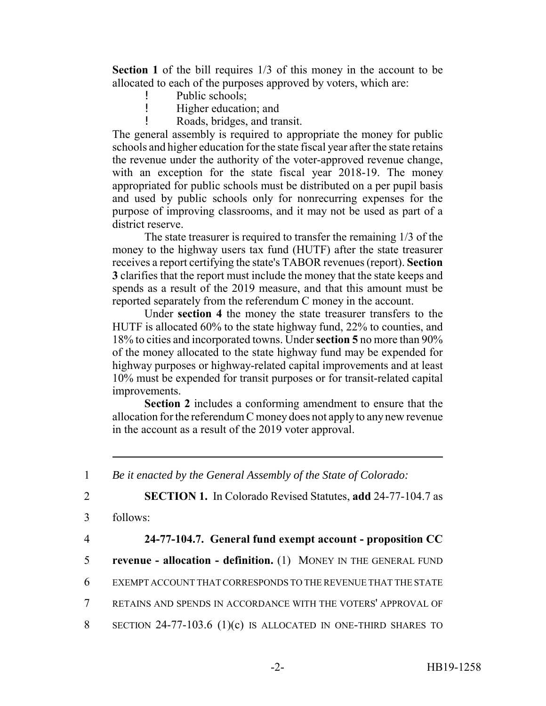**Section 1** of the bill requires 1/3 of this money in the account to be allocated to each of the purposes approved by voters, which are:

- Public schools;
- ! Higher education; and
- ! Roads, bridges, and transit.

The general assembly is required to appropriate the money for public schools and higher education for the state fiscal year after the state retains the revenue under the authority of the voter-approved revenue change, with an exception for the state fiscal year 2018-19. The money appropriated for public schools must be distributed on a per pupil basis and used by public schools only for nonrecurring expenses for the purpose of improving classrooms, and it may not be used as part of a district reserve.

The state treasurer is required to transfer the remaining 1/3 of the money to the highway users tax fund (HUTF) after the state treasurer receives a report certifying the state's TABOR revenues (report). **Section 3** clarifies that the report must include the money that the state keeps and spends as a result of the 2019 measure, and that this amount must be reported separately from the referendum C money in the account.

Under **section 4** the money the state treasurer transfers to the HUTF is allocated 60% to the state highway fund, 22% to counties, and 18% to cities and incorporated towns. Under **section 5** no more than 90% of the money allocated to the state highway fund may be expended for highway purposes or highway-related capital improvements and at least 10% must be expended for transit purposes or for transit-related capital improvements.

**Section 2** includes a conforming amendment to ensure that the allocation for the referendum C money does not apply to any new revenue in the account as a result of the 2019 voter approval.

1 *Be it enacted by the General Assembly of the State of Colorado:*

2 **SECTION 1.** In Colorado Revised Statutes, **add** 24-77-104.7 as

- 3 follows:
- 

## 4 **24-77-104.7. General fund exempt account - proposition CC**

- 5 **revenue allocation definition.** (1) MONEY IN THE GENERAL FUND
- 6 EXEMPT ACCOUNT THAT CORRESPONDS TO THE REVENUE THAT THE STATE
- 7 RETAINS AND SPENDS IN ACCORDANCE WITH THE VOTERS' APPROVAL OF
- 8 SECTION 24-77-103.6 (1)(c) IS ALLOCATED IN ONE-THIRD SHARES TO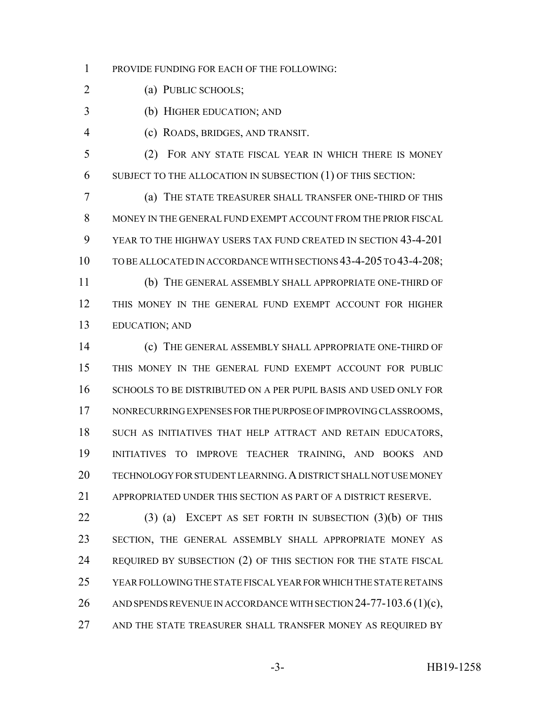PROVIDE FUNDING FOR EACH OF THE FOLLOWING:

(a) PUBLIC SCHOOLS;

(b) HIGHER EDUCATION; AND

(c) ROADS, BRIDGES, AND TRANSIT.

 (2) FOR ANY STATE FISCAL YEAR IN WHICH THERE IS MONEY SUBJECT TO THE ALLOCATION IN SUBSECTION (1) OF THIS SECTION:

 (a) THE STATE TREASURER SHALL TRANSFER ONE-THIRD OF THIS MONEY IN THE GENERAL FUND EXEMPT ACCOUNT FROM THE PRIOR FISCAL YEAR TO THE HIGHWAY USERS TAX FUND CREATED IN SECTION 43-4-201 TO BE ALLOCATED IN ACCORDANCE WITH SECTIONS 43-4-205 TO 43-4-208; (b) THE GENERAL ASSEMBLY SHALL APPROPRIATE ONE-THIRD OF

 THIS MONEY IN THE GENERAL FUND EXEMPT ACCOUNT FOR HIGHER EDUCATION; AND

 (c) THE GENERAL ASSEMBLY SHALL APPROPRIATE ONE-THIRD OF THIS MONEY IN THE GENERAL FUND EXEMPT ACCOUNT FOR PUBLIC SCHOOLS TO BE DISTRIBUTED ON A PER PUPIL BASIS AND USED ONLY FOR NONRECURRING EXPENSES FOR THE PURPOSE OF IMPROVING CLASSROOMS, 18 SUCH AS INITIATIVES THAT HELP ATTRACT AND RETAIN EDUCATORS, INITIATIVES TO IMPROVE TEACHER TRAINING, AND BOOKS AND TECHNOLOGY FOR STUDENT LEARNING.A DISTRICT SHALL NOT USE MONEY APPROPRIATED UNDER THIS SECTION AS PART OF A DISTRICT RESERVE.

 (3) (a) EXCEPT AS SET FORTH IN SUBSECTION (3)(b) OF THIS SECTION, THE GENERAL ASSEMBLY SHALL APPROPRIATE MONEY AS REQUIRED BY SUBSECTION (2) OF THIS SECTION FOR THE STATE FISCAL YEAR FOLLOWING THE STATE FISCAL YEAR FOR WHICH THE STATE RETAINS 26 AND SPENDS REVENUE IN ACCORDANCE WITH SECTION 24-77-103.6 (1)(c), 27 AND THE STATE TREASURER SHALL TRANSFER MONEY AS REQUIRED BY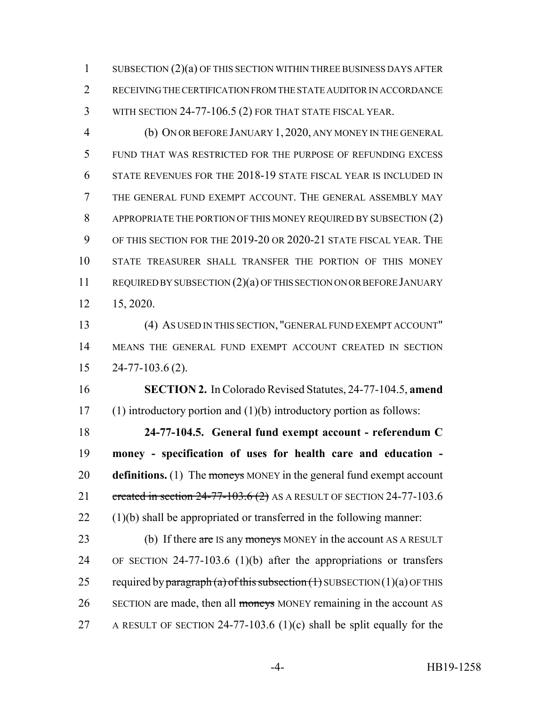1 SUBSECTION (2)(a) OF THIS SECTION WITHIN THREE BUSINESS DAYS AFTER RECEIVING THE CERTIFICATION FROM THE STATE AUDITOR IN ACCORDANCE WITH SECTION 24-77-106.5 (2) FOR THAT STATE FISCAL YEAR.

 (b) ON OR BEFORE JANUARY 1, 2020, ANY MONEY IN THE GENERAL FUND THAT WAS RESTRICTED FOR THE PURPOSE OF REFUNDING EXCESS STATE REVENUES FOR THE 2018-19 STATE FISCAL YEAR IS INCLUDED IN THE GENERAL FUND EXEMPT ACCOUNT. THE GENERAL ASSEMBLY MAY APPROPRIATE THE PORTION OF THIS MONEY REQUIRED BY SUBSECTION (2) OF THIS SECTION FOR THE 2019-20 OR 2020-21 STATE FISCAL YEAR. THE STATE TREASURER SHALL TRANSFER THE PORTION OF THIS MONEY REQUIRED BY SUBSECTION (2)(a) OF THIS SECTION ON OR BEFORE JANUARY 15, 2020.

 (4) AS USED IN THIS SECTION, "GENERAL FUND EXEMPT ACCOUNT" MEANS THE GENERAL FUND EXEMPT ACCOUNT CREATED IN SECTION 24-77-103.6 (2).

 **SECTION 2.** In Colorado Revised Statutes, 24-77-104.5, **amend** (1) introductory portion and (1)(b) introductory portion as follows:

 **24-77-104.5. General fund exempt account - referendum C money - specification of uses for health care and education - definitions.** (1) The moneys MONEY in the general fund exempt account 21 created in section 24-77-103.6 (2) AS A RESULT OF SECTION 24-77-103.6 (1)(b) shall be appropriated or transferred in the following manner:

23 (b) If there are IS any moneys MONEY in the account AS A RESULT OF SECTION 24-77-103.6 (1)(b) after the appropriations or transfers 25 required by paragraph (a) of this subsection  $(1)$  SUBSECTION  $(1)(a)$  OF THIS 26 SECTION are made, then all moneys MONEY remaining in the account AS A RESULT OF SECTION 24-77-103.6 (1)(c) shall be split equally for the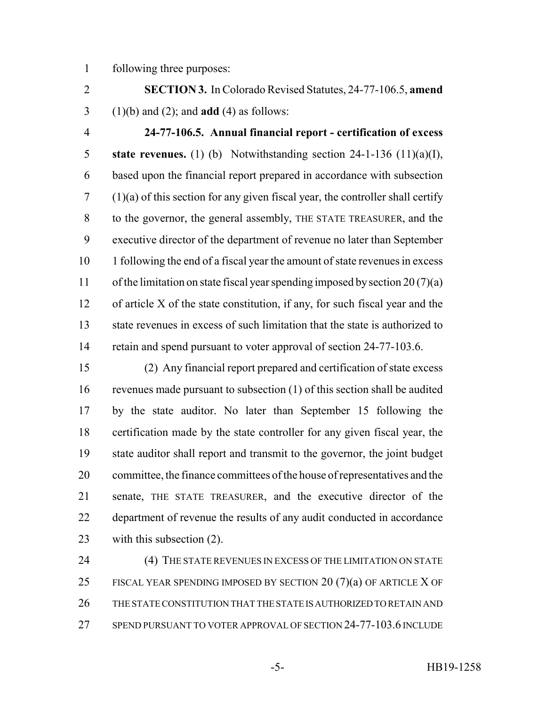following three purposes:

 **SECTION 3.** In Colorado Revised Statutes, 24-77-106.5, **amend** (1)(b) and (2); and **add** (4) as follows:

 **24-77-106.5. Annual financial report - certification of excess state revenues.** (1) (b) Notwithstanding section 24-1-136 (11)(a)(I), based upon the financial report prepared in accordance with subsection (1)(a) of this section for any given fiscal year, the controller shall certify to the governor, the general assembly, THE STATE TREASURER, and the executive director of the department of revenue no later than September 1 following the end of a fiscal year the amount of state revenues in excess 11 of the limitation on state fiscal year spending imposed by section  $20(7)(a)$  of article X of the state constitution, if any, for such fiscal year and the state revenues in excess of such limitation that the state is authorized to 14 retain and spend pursuant to voter approval of section 24-77-103.6.

 (2) Any financial report prepared and certification of state excess revenues made pursuant to subsection (1) of this section shall be audited by the state auditor. No later than September 15 following the certification made by the state controller for any given fiscal year, the state auditor shall report and transmit to the governor, the joint budget committee, the finance committees of the house of representatives and the senate, THE STATE TREASURER, and the executive director of the department of revenue the results of any audit conducted in accordance with this subsection (2).

24 (4) THE STATE REVENUES IN EXCESS OF THE LIMITATION ON STATE 25 FISCAL YEAR SPENDING IMPOSED BY SECTION 20  $(7)(a)$  OF ARTICLE X OF THE STATE CONSTITUTION THAT THE STATE IS AUTHORIZED TO RETAIN AND SPEND PURSUANT TO VOTER APPROVAL OF SECTION 24-77-103.6 INCLUDE